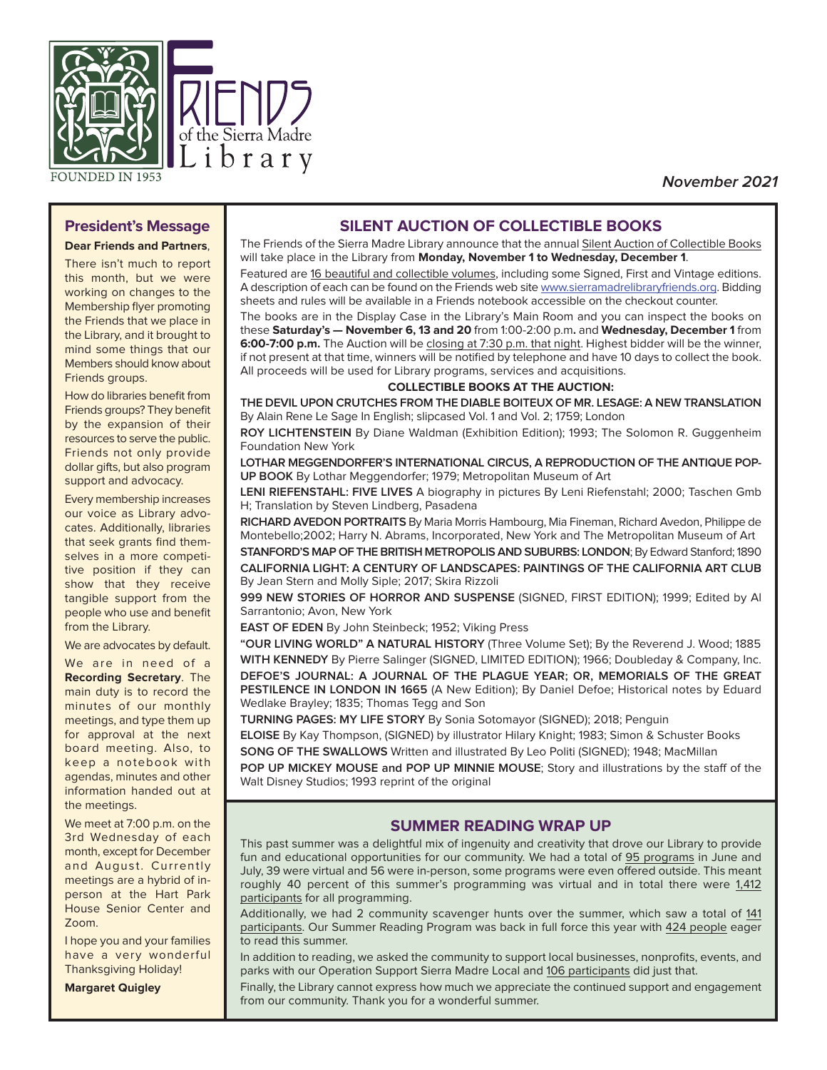

**November 2021**

## **President's Message Dear Friends and Partners**,

There isn't much to report this month, but we were working on changes to the Membership flyer promoting the Friends that we place in the Library, and it brought to mind some things that our Members should know about Friends groups.

How do libraries benefit from Friends groups? They benefit by the expansion of their resources to serve the public. Friends not only provide dollar gifts, but also program support and advocacy.

Every membership increases our voice as Library advocates. Additionally, libraries that seek grants find themselves in a more competitive position if they can show that they receive tangible support from the people who use and benefit from the Library.

#### We are advocates by default.

We are in need of a **Recording Secretary**. The main duty is to record the minutes of our monthly meetings, and type them up for approval at the next board meeting. Also, to keep a notebook with agendas, minutes and other information handed out at the meetings.

We meet at 7:00 p.m. on the 3rd Wednesday of each month, except for December and August. Currently meetings are a hybrid of inperson at the Hart Park House Senior Center and Zoom.

I hope you and your families have a very wonderful Thanksgiving Holiday!

**Margaret Quigley**

## **SILENT AUCTION OF COLLECTIBLE BOOKS**

The Friends of the Sierra Madre Library announce that the annual Silent Auction of Collectible Books will take place in the Library from **Monday, November 1 to Wednesday, December 1**.

Featured are 16 beautiful and collectible volumes, including some Signed, First and Vintage editions. A description of each can be found on the Friends web site www.sierramadrelibraryfriends.org. Bidding sheets and rules will be available in a Friends notebook accessible on the checkout counter.

The books are in the Display Case in the Library's Main Room and you can inspect the books on these **Saturday's — November 6, 13 and 20** from 1:00-2:00 p.m**.** and **Wednesday, December 1** from **6:00-7:00 p.m.** The Auction will be closing at 7:30 p.m. that night. Highest bidder will be the winner, if not present at that time, winners will be notified by telephone and have 10 days to collect the book. All proceeds will be used for Library programs, services and acquisitions.

#### **COLLECTIBLE BOOKS AT THE AUCTION:**

**THE DEVIL UPON CRUTCHES FROM THE DIABLE BOITEUX OF MR. LESAGE: A NEW TRANSLATION** By Alain Rene Le Sage In English; slipcased Vol. 1 and Vol. 2; 1759; London

**ROY LICHTENSTEIN** By Diane Waldman (Exhibition Edition); 1993; The Solomon R. Guggenheim Foundation New York

**LOTHAR MEGGENDORFER'S INTERNATIONAL CIRCUS, A REPRODUCTION OF THE ANTIQUE POP-UP BOOK** By Lothar Meggendorfer; 1979; Metropolitan Museum of Art

**LENI RIEFENSTAHL: FIVE LIVES** A biography in pictures By Leni Riefenstahl; 2000; Taschen Gmb H; Translation by Steven Lindberg, Pasadena

**RICHARD AVEDON PORTRAITS** By Maria Morris Hambourg, Mia Fineman, Richard Avedon, Philippe de Montebello;2002; Harry N. Abrams, Incorporated, New York and The Metropolitan Museum of Art **STANFORD'S MAP OF THE BRITISH METROPOLIS AND SUBURBS: LONDON**; By Edward Stanford; 1890

**CALIFORNIA LIGHT: A CENTURY OF LANDSCAPES: PAINTINGS OF THE CALIFORNIA ART CLUB** By Jean Stern and Molly Siple; 2017; Skira Rizzoli

**999 NEW STORIES OF HORROR AND SUSPENSE** (SIGNED, FIRST EDITION); 1999; Edited by Al Sarrantonio; Avon, New York

**EAST OF EDEN** By John Steinbeck; 1952; Viking Press

**"OUR LIVING WORLD" A NATURAL HISTORY** (Three Volume Set); By the Reverend J. Wood; 1885 **WITH KENNEDY** By Pierre Salinger (SIGNED, LIMITED EDITION); 1966; Doubleday & Company, Inc. **DEFOE'S JOURNAL: A JOURNAL OF THE PLAGUE YEAR; OR, MEMORIALS OF THE GREAT PESTILENCE IN LONDON IN 1665** (A New Edition); By Daniel Defoe; Historical notes by Eduard Wedlake Brayley; 1835; Thomas Tegg and Son

**TURNING PAGES: MY LIFE STORY** By Sonia Sotomayor (SIGNED); 2018; Penguin

**ELOISE** By Kay Thompson, (SIGNED) by illustrator Hilary Knight; 1983; Simon & Schuster Books **SONG OF THE SWALLOWS** Written and illustrated By Leo Politi (SIGNED); 1948; MacMillan

**POP UP MICKEY MOUSE and POP UP MINNIE MOUSE**; Story and illustrations by the staff of the Walt Disney Studios; 1993 reprint of the original

#### **SUMMER READING WRAP UP**

This past summer was a delightful mix of ingenuity and creativity that drove our Library to provide fun and educational opportunities for our community. We had a total of 95 programs in June and July, 39 were virtual and 56 were in-person, some programs were even offered outside. This meant roughly 40 percent of this summer's programming was virtual and in total there were 1,412 participants for all programming.

Additionally, we had 2 community scavenger hunts over the summer, which saw a total of 141 participants. Our Summer Reading Program was back in full force this year with 424 people eager to read this summer.

In addition to reading, we asked the community to support local businesses, nonprofits, events, and parks with our Operation Support Sierra Madre Local and 106 participants did just that.

Finally, the Library cannot express how much we appreciate the continued support and engagement from our community. Thank you for a wonderful summer.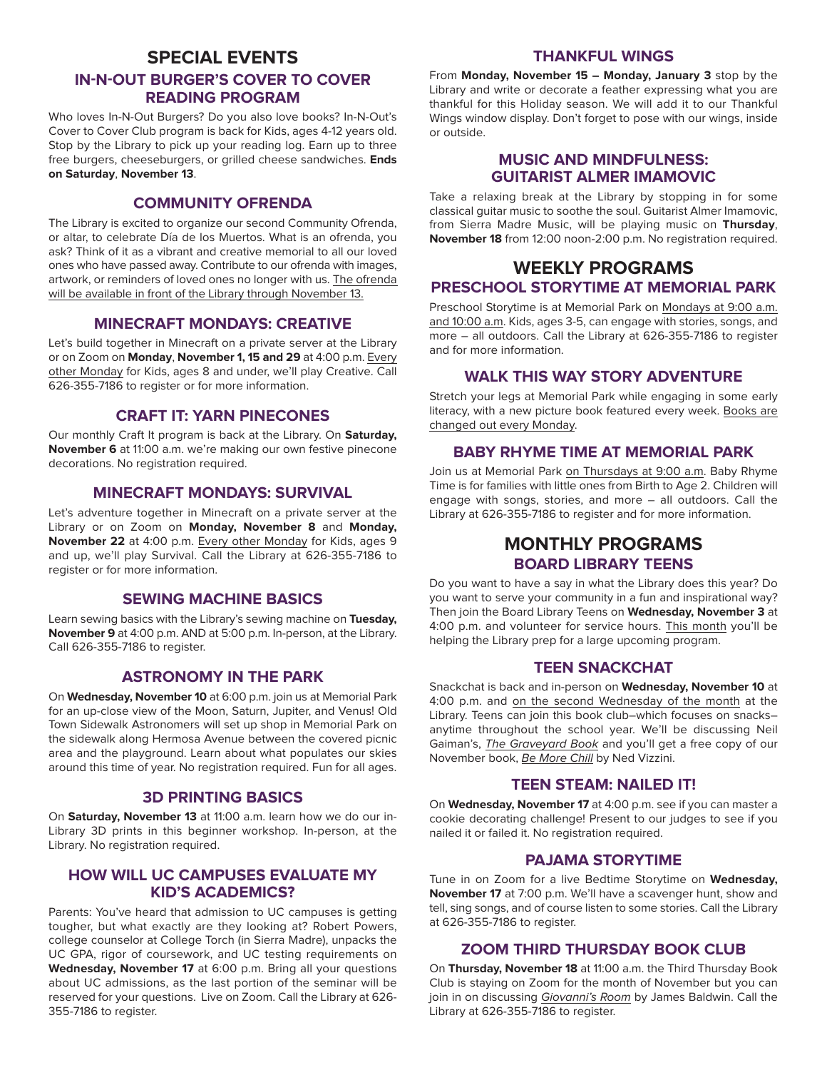# **SPECIAL EVENTS IN-N-OUT BURGER'S COVER TO COVER READING PROGRAM**

Who loves In-N-Out Burgers? Do you also love books? In-N-Out's Cover to Cover Club program is back for Kids, ages 4-12 years old. Stop by the Library to pick up your reading log. Earn up to three free burgers, cheeseburgers, or grilled cheese sandwiches. **Ends on Saturday**, **November 13**.

### **COMMUNITY OFRENDA**

The Library is excited to organize our second Community Ofrenda, or altar, to celebrate Día de los Muertos. What is an ofrenda, you ask? Think of it as a vibrant and creative memorial to all our loved ones who have passed away. Contribute to our ofrenda with images, artwork, or reminders of loved ones no longer with us. The ofrenda will be available in front of the Library through November 13.

#### **MINECRAFT MONDAYS: CREATIVE**

Let's build together in Minecraft on a private server at the Library or on Zoom on **Monday**, **November 1, 15 and 29** at 4:00 p.m. Every other Monday for Kids, ages 8 and under, we'll play Creative. Call 626-355-7186 to register or for more information.

#### **CRAFT IT: YARN PINECONES**

Our monthly Craft It program is back at the Library. On **Saturday, November 6** at 11:00 a.m. we're making our own festive pinecone decorations. No registration required.

#### **MINECRAFT MONDAYS: SURVIVAL**

Let's adventure together in Minecraft on a private server at the Library or on Zoom on **Monday, November 8** and **Monday, November 22** at 4:00 p.m. Every other Monday for Kids, ages 9 and up, we'll play Survival. Call the Library at 626-355-7186 to register or for more information.

## **SEWING MACHINE BASICS**

Learn sewing basics with the Library's sewing machine on **Tuesday, November 9** at 4:00 p.m. AND at 5:00 p.m. In-person, at the Library. Call 626-355-7186 to register.

#### **ASTRONOMY IN THE PARK**

On **Wednesday, November 10** at 6:00 p.m. join us at Memorial Park for an up-close view of the Moon, Saturn, Jupiter, and Venus! Old Town Sidewalk Astronomers will set up shop in Memorial Park on the sidewalk along Hermosa Avenue between the covered picnic area and the playground. Learn about what populates our skies around this time of year. No registration required. Fun for all ages.

### **3D PRINTING BASICS**

On **Saturday, November 13** at 11:00 a.m. learn how we do our in-Library 3D prints in this beginner workshop. In-person, at the Library. No registration required.

## **HOW WILL UC CAMPUSES EVALUATE MY KID'S ACADEMICS?**

Parents: You've heard that admission to UC campuses is getting tougher, but what exactly are they looking at? Robert Powers, college counselor at College Torch (in Sierra Madre), unpacks the UC GPA, rigor of coursework, and UC testing requirements on **Wednesday, November 17** at 6:00 p.m. Bring all your questions about UC admissions, as the last portion of the seminar will be reserved for your questions. Live on Zoom. Call the Library at 626- 355-7186 to register.

#### **THANKFUL WINGS**

From **Monday, November 15 – Monday, January 3** stop by the Library and write or decorate a feather expressing what you are thankful for this Holiday season. We will add it to our Thankful Wings window display. Don't forget to pose with our wings, inside or outside.

## **MUSIC AND MINDFULNESS: GUITARIST ALMER IMAMOVIC**

Take a relaxing break at the Library by stopping in for some classical guitar music to soothe the soul. Guitarist Almer Imamovic, from Sierra Madre Music, will be playing music on **Thursday**, **November 18** from 12:00 noon-2:00 p.m. No registration required.

# **WEEKLY PROGRAMS PRESCHOOL STORYTIME AT MEMORIAL PARK**

Preschool Storytime is at Memorial Park on Mondays at 9:00 a.m. and 10:00 a.m. Kids, ages 3-5, can engage with stories, songs, and more – all outdoors. Call the Library at 626-355-7186 to register and for more information.

#### **WALK THIS WAY STORY ADVENTURE**

Stretch your legs at Memorial Park while engaging in some early literacy, with a new picture book featured every week. Books are changed out every Monday.

#### **BABY RHYME TIME AT MEMORIAL PARK**

Join us at Memorial Park on Thursdays at 9:00 a.m. Baby Rhyme Time is for families with little ones from Birth to Age 2. Children will engage with songs, stories, and more – all outdoors. Call the Library at 626-355-7186 to register and for more information.

# **MONTHLY PROGRAMS BOARD LIBRARY TEENS**

Do you want to have a say in what the Library does this year? Do you want to serve your community in a fun and inspirational way? Then join the Board Library Teens on **Wednesday, November 3** at 4:00 p.m. and volunteer for service hours. This month you'll be helping the Library prep for a large upcoming program.

#### **TEEN SNACKCHAT**

Snackchat is back and in-person on **Wednesday, November 10** at 4:00 p.m. and on the second Wednesday of the month at the Library. Teens can join this book club–which focuses on snacks– anytime throughout the school year. We'll be discussing Neil Gaiman's, The Graveyard Book and you'll get a free copy of our November book, Be More Chill by Ned Vizzini.

#### **TEEN STEAM: NAILED IT!**

On **Wednesday, November 17** at 4:00 p.m. see if you can master a cookie decorating challenge! Present to our judges to see if you nailed it or failed it. No registration required.

#### **PAJAMA STORYTIME**

Tune in on Zoom for a live Bedtime Storytime on **Wednesday, November 17** at 7:00 p.m. We'll have a scavenger hunt, show and tell, sing songs, and of course listen to some stories. Call the Library at 626-355-7186 to register.

#### **ZOOM THIRD THURSDAY BOOK CLUB**

On **Thursday, November 18** at 11:00 a.m. the Third Thursday Book Club is staying on Zoom for the month of November but you can join in on discussing Giovanni's Room by James Baldwin. Call the Library at 626-355-7186 to register.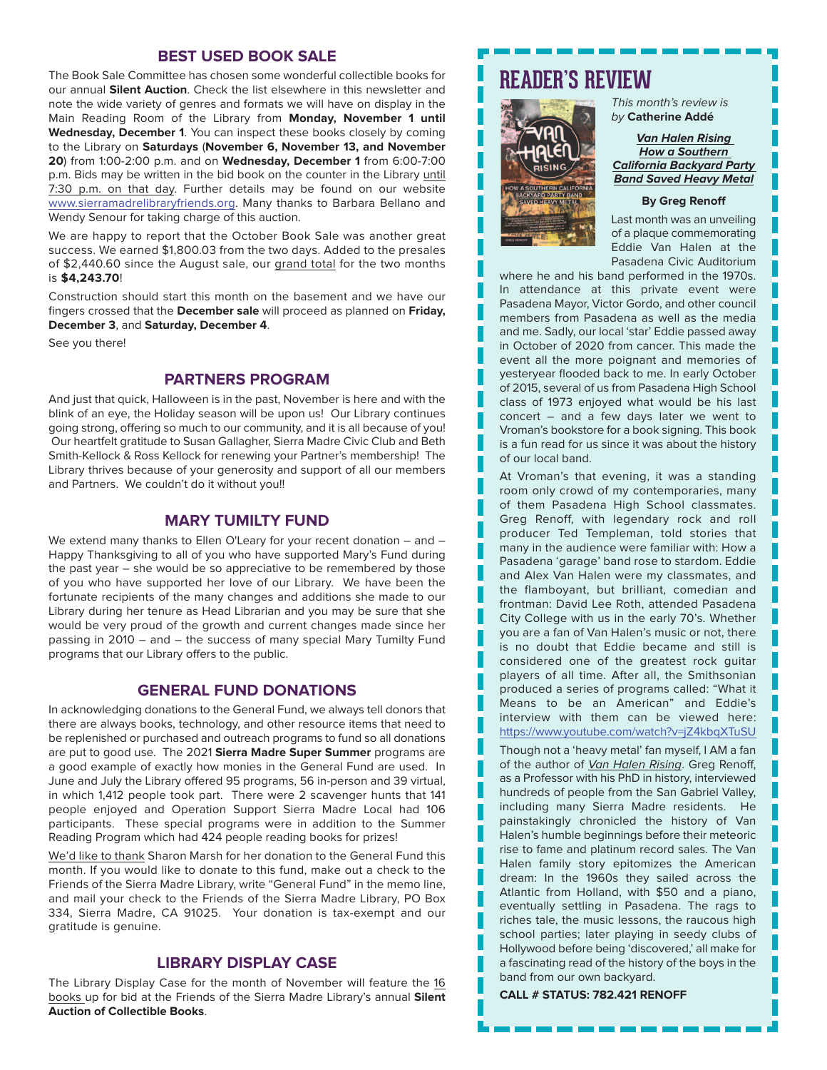#### **BEST USED BOOK SALE**

The Book Sale Committee has chosen some wonderful collectible books for our annual **Silent Auction**. Check the list elsewhere in this newsletter and note the wide variety of genres and formats we will have on display in the Main Reading Room of the Library from **Monday, November 1 until Wednesday, December 1**. You can inspect these books closely by coming to the Library on **Saturdays** (**November 6, November 13, and November 20**) from 1:00-2:00 p.m. and on **Wednesday, December 1** from 6:00-7:00 p.m. Bids may be written in the bid book on the counter in the Library until 7:30 p.m. on that day. Further details may be found on our website www.sierramadrelibraryfriends.org. Many thanks to Barbara Bellano and Wendy Senour for taking charge of this auction.

We are happy to report that the October Book Sale was another great success. We earned \$1,800.03 from the two days. Added to the presales of \$2,440.60 since the August sale, our grand total for the two months is **\$4,243.70**!

Construction should start this month on the basement and we have our fingers crossed that the **December sale** will proceed as planned on **Friday, December 3**, and **Saturday, December 4**.

See you there!

### **PARTNERS PROGRAM**

And just that quick, Halloween is in the past, November is here and with the blink of an eye, the Holiday season will be upon us! Our Library continues going strong, offering so much to our community, and it is all because of you! Our heartfelt gratitude to Susan Gallagher, Sierra Madre Civic Club and Beth Smith-Kellock & Ross Kellock for renewing your Partner's membership! The Library thrives because of your generosity and support of all our members and Partners. We couldn't do it without you!!

#### **MARY TUMILTY FUND**

We extend many thanks to Ellen O'Leary for your recent donation – and – Happy Thanksgiving to all of you who have supported Mary's Fund during the past year – she would be so appreciative to be remembered by those of you who have supported her love of our Library. We have been the fortunate recipients of the many changes and additions she made to our Library during her tenure as Head Librarian and you may be sure that she would be very proud of the growth and current changes made since her passing in 2010 – and – the success of many special Mary Tumilty Fund programs that our Library offers to the public.

## **GENERAL FUND DONATIONS**

In acknowledging donations to the General Fund, we always tell donors that there are always books, technology, and other resource items that need to be replenished or purchased and outreach programs to fund so all donations are put to good use. The 2021 **Sierra Madre Super Summer** programs are a good example of exactly how monies in the General Fund are used. In June and July the Library offered 95 programs, 56 in-person and 39 virtual, in which 1,412 people took part. There were 2 scavenger hunts that 141 people enjoyed and Operation Support Sierra Madre Local had 106 participants. These special programs were in addition to the Summer Reading Program which had 424 people reading books for prizes!

We'd like to thank Sharon Marsh for her donation to the General Fund this month. If you would like to donate to this fund, make out a check to the Friends of the Sierra Madre Library, write "General Fund" in the memo line, and mail your check to the Friends of the Sierra Madre Library, PO Box 334, Sierra Madre, CA 91025. Your donation is tax-exempt and our gratitude is genuine.

#### **LIBRARY DISPLAY CASE**

The Library Display Case for the month of November will feature the 16 books up for bid at the Friends of the Sierra Madre Library's annual **Silent Auction of Collectible Books**.

# **READER'S REVIEW**



This month's review is by **Catherine Addé**

**Van Halen Rising How a Southern California Backyard Party Band Saved Heavy Metal**

#### **By Greg Renoff**

Last month was an unveiling of a plaque commemorating Eddie Van Halen at the Pasadena Civic Auditorium

H

where he and his band performed in the 1970s. In attendance at this private event were Pasadena Mayor, Victor Gordo, and other council members from Pasadena as well as the media and me. Sadly, our local 'star' Eddie passed away in October of 2020 from cancer. This made the event all the more poignant and memories of yesteryear flooded back to me. In early October of 2015, several of us from Pasadena High School class of 1973 enjoyed what would be his last concert – and a few days later we went to Vroman's bookstore for a book signing. This book is a fun read for us since it was about the history of our local band.

At Vroman's that evening, it was a standing room only crowd of my contemporaries, many of them Pasadena High School classmates. Greg Renoff, with legendary rock and roll producer Ted Templeman, told stories that many in the audience were familiar with: How a Pasadena 'garage' band rose to stardom. Eddie and Alex Van Halen were my classmates, and the flamboyant, but brilliant, comedian and frontman: David Lee Roth, attended Pasadena City College with us in the early 70's. Whether you are a fan of Van Halen's music or not, there is no doubt that Eddie became and still is considered one of the greatest rock guitar players of all time. After all, the Smithsonian produced a series of programs called: "What it Means to be an American" and Eddie's interview with them can be viewed here: https://www.youtube.com/watch?v=jZ4kbqXTuSU

Though not a 'heavy metal' fan myself, I AM a fan of the author of Van Halen Rising. Greg Renoff, as a Professor with his PhD in history, interviewed hundreds of people from the San Gabriel Valley, including many Sierra Madre residents. He painstakingly chronicled the history of Van Halen's humble beginnings before their meteoric rise to fame and platinum record sales. The Van Halen family story epitomizes the American dream: In the 1960s they sailed across the Atlantic from Holland, with \$50 and a piano, eventually settling in Pasadena. The rags to riches tale, the music lessons, the raucous high school parties; later playing in seedy clubs of Hollywood before being 'discovered,' all make for a fascinating read of the history of the boys in the band from our own backyard.

**CALL # STATUS: 782.421 RENOFF**